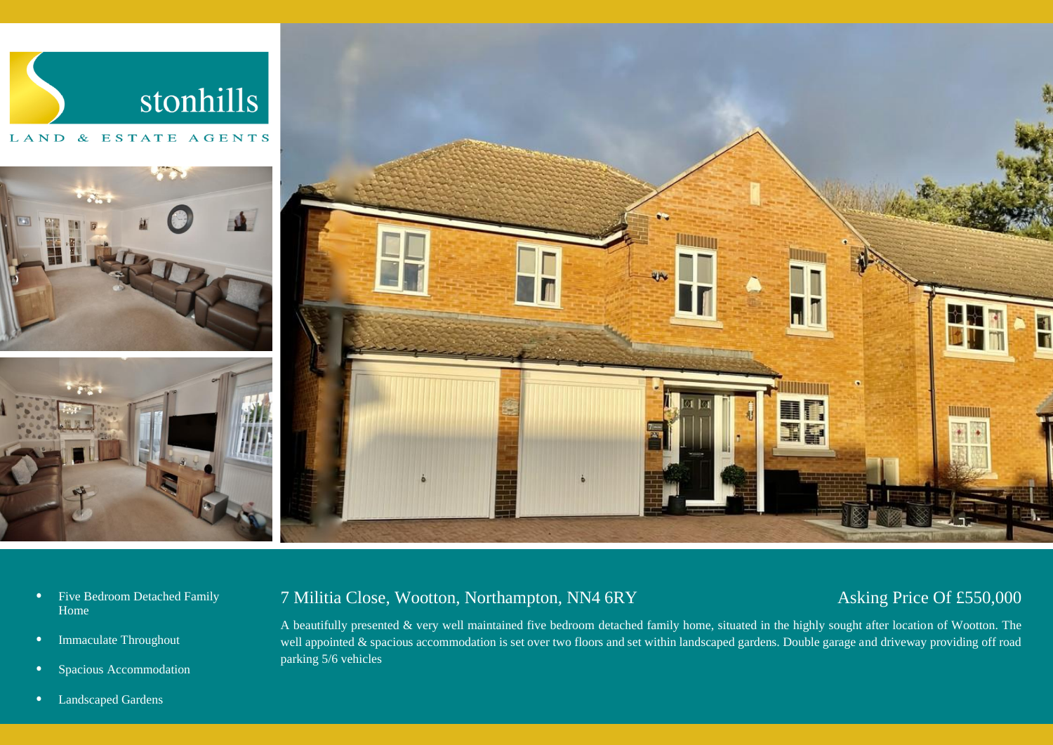

- **•** Five Bedroom Detached Family Home
- **•** Immaculate Throughout
- **•** Spacious Accommodation
- **•** Landscaped Gardens

## 7 Militia Close, Wootton, Northampton, NN4 6RY

## Asking Price Of £550,000

A beautifully presented & very well maintained five bedroom detached family home, situated in the highly sought after location of Wootton. The well appointed & spacious accommodation is set over two floors and set within landscaped gardens. Double garage and driveway providing off road parking 5/6 vehicles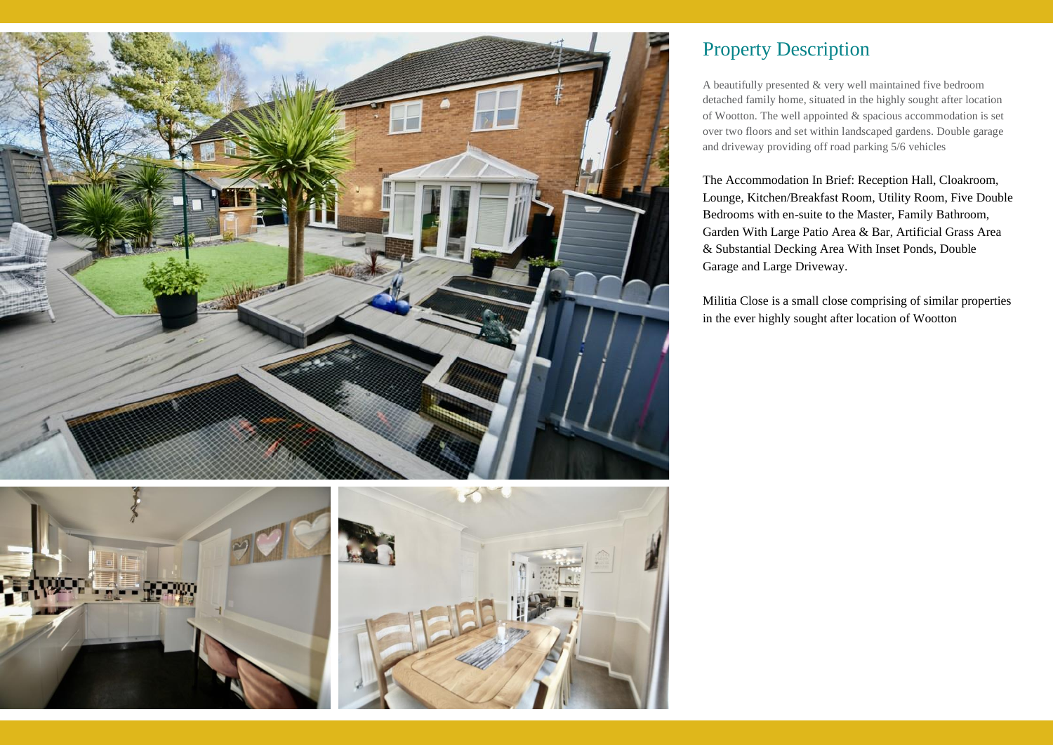

## Property Description

A beautifully presented & very well maintained five bedroom detached family home, situated in the highly sought after location of Wootton. The well appointed & spacious accommodation is set over two floors and set within landscaped gardens. Double garage and driveway providing off road parking 5/6 vehicles

The Accommodation In Brief: Reception Hall, Cloakroom, Lounge, Kitchen/Breakfast Room, Utility Room, Five Double Bedrooms with en-suite to the Master, Family Bathroom, Garden With Large Patio Area & Bar, Artificial Grass Area & Substantial Decking Area With Inset Ponds, Double Garage and Large Driveway.

Militia Close is a small close comprising of similar properties in the ever highly sought after location of Wootton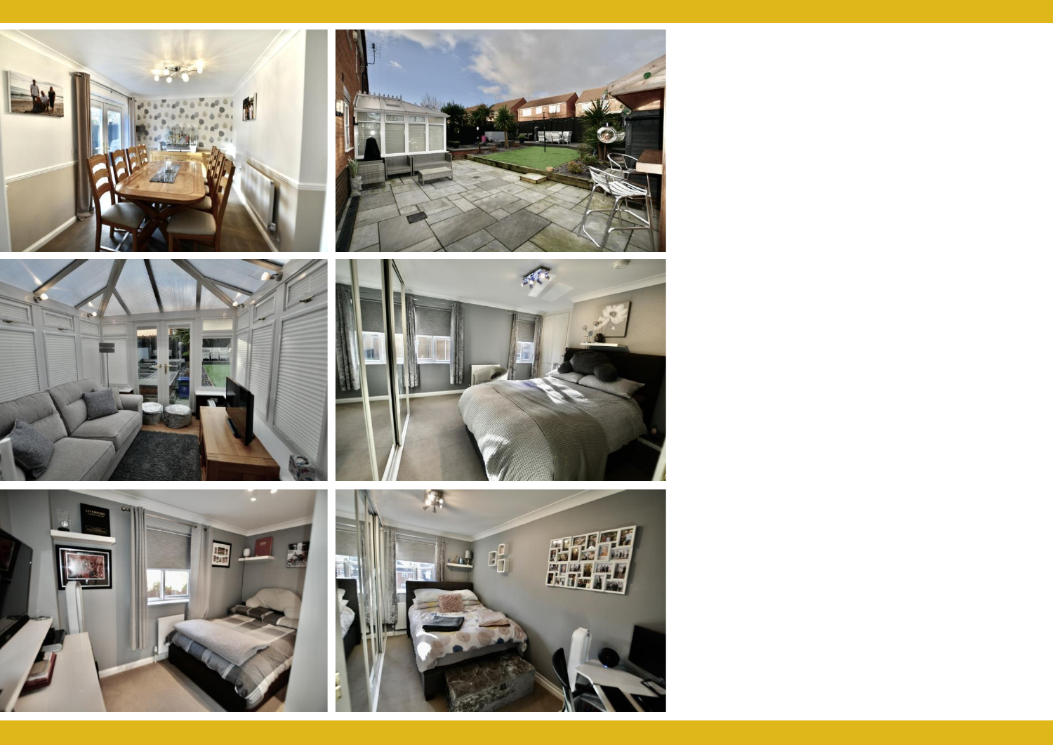